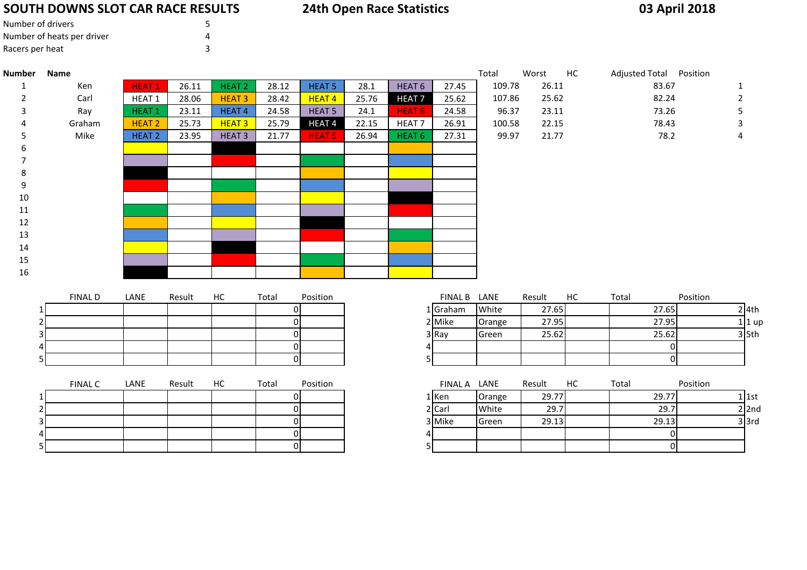# **SOUTH DOWNS SLOT CAR RACE RESULTS**

| S |  |  |  | <b>24th Open Race Statistics</b> |
|---|--|--|--|----------------------------------|
|---|--|--|--|----------------------------------|

# **03 April 2018**

| Number of drivers          |  |
|----------------------------|--|
| Number of heats per driver |  |
| Racers per heat            |  |

| 26.11<br>83.67<br>109.78<br>Ken<br><b>HEAT1</b><br>26.11<br><b>HEAT 2</b><br>28.12<br><b>HEAT 5</b><br>28.1<br>HEAT <sub>6</sub><br>$\mathbf{1}$<br>27.45<br>1<br><b>HEAT3</b><br>28.42<br>HEAT <sub>4</sub><br>25.76<br>HEAT <sub>7</sub><br>25.62<br>82.24<br>Carl<br>HEAT 1<br>28.06<br>25.62<br>107.86<br>$\overline{2}$<br>2<br>HEAT <sub>1</sub><br>23.11<br>HEAT <sub>4</sub><br>24.58<br><b>HEAT 5</b><br>24.1<br>24.58<br>96.37<br>23.11<br>73.26<br>Ray<br>HEAT <sub>6</sub><br>3<br>5<br><b>HEAT 2</b><br>25.73<br><b>HEAT3</b><br>25.79<br>HEAT <sub>4</sub><br>22.15<br>22.15<br>78.43<br>Graham<br>HEAT <sub>7</sub><br>26.91<br>100.58<br>3<br>Mike<br>78.2<br>HEAT <sub>2</sub><br>23.95<br><b>HEAT3</b><br>21.77<br><b>HEAT 5</b><br>26.94<br>HEAT <sub>6</sub><br>27.31<br>99.97<br>21.77<br>4<br>8<br>9<br>10<br>11<br>12<br>13<br>14<br>15<br>16<br><b>FINAL D</b><br>LANE<br>HC<br>Position<br>FINAL B LANE<br>HC<br>Position<br>Result<br>Total<br>Result<br>Total<br>White<br>$\overline{0}$<br>1Graham<br>27.65<br>27.65<br>$\overline{0}$<br>2 Mike<br>27.95<br>Orange<br>27.95<br>$\overline{0}$<br>Green<br>25.62<br>25.62<br>3 Ray<br>$\overline{0}$<br>$\overline{0}$<br>$\overline{0}$<br>$\overline{0}$<br><b>FINAL C</b><br>LANE<br>Result<br>HC<br>Position<br>HC<br>Position<br>Total<br>FINAL A LANE<br>Result<br>Total<br>$1$ 1st<br>$\overline{0}$<br>1 Ken<br>29.77<br>29.77<br>Orange<br>2 Carl<br>$\overline{0}$<br>White<br>29.7<br>29.7<br>$3$ 3rd<br>$\overline{0}$<br>3 Mike<br>29.13<br>Green<br>29.13<br>$\overline{0}$<br>$\overline{0}$<br>$\overline{4}$<br><sub>0</sub><br>$\overline{0}$<br>51 | <b>Number</b> | Name |  |  |  |  | Total | Worst | HC | Adjusted Total Position |  |
|---------------------------------------------------------------------------------------------------------------------------------------------------------------------------------------------------------------------------------------------------------------------------------------------------------------------------------------------------------------------------------------------------------------------------------------------------------------------------------------------------------------------------------------------------------------------------------------------------------------------------------------------------------------------------------------------------------------------------------------------------------------------------------------------------------------------------------------------------------------------------------------------------------------------------------------------------------------------------------------------------------------------------------------------------------------------------------------------------------------------------------------------------------------------------------------------------------------------------------------------------------------------------------------------------------------------------------------------------------------------------------------------------------------------------------------------------------------------------------------------------------------------------------------------------------------------------------------------------------------------------------------------------|---------------|------|--|--|--|--|-------|-------|----|-------------------------|--|
| $2$ 4th<br>$11$ up<br>$3$ 5th<br>$2$ 2nd                                                                                                                                                                                                                                                                                                                                                                                                                                                                                                                                                                                                                                                                                                                                                                                                                                                                                                                                                                                                                                                                                                                                                                                                                                                                                                                                                                                                                                                                                                                                                                                                          |               |      |  |  |  |  |       |       |    |                         |  |
|                                                                                                                                                                                                                                                                                                                                                                                                                                                                                                                                                                                                                                                                                                                                                                                                                                                                                                                                                                                                                                                                                                                                                                                                                                                                                                                                                                                                                                                                                                                                                                                                                                                   |               |      |  |  |  |  |       |       |    |                         |  |
|                                                                                                                                                                                                                                                                                                                                                                                                                                                                                                                                                                                                                                                                                                                                                                                                                                                                                                                                                                                                                                                                                                                                                                                                                                                                                                                                                                                                                                                                                                                                                                                                                                                   |               |      |  |  |  |  |       |       |    |                         |  |
|                                                                                                                                                                                                                                                                                                                                                                                                                                                                                                                                                                                                                                                                                                                                                                                                                                                                                                                                                                                                                                                                                                                                                                                                                                                                                                                                                                                                                                                                                                                                                                                                                                                   |               |      |  |  |  |  |       |       |    |                         |  |
|                                                                                                                                                                                                                                                                                                                                                                                                                                                                                                                                                                                                                                                                                                                                                                                                                                                                                                                                                                                                                                                                                                                                                                                                                                                                                                                                                                                                                                                                                                                                                                                                                                                   |               |      |  |  |  |  |       |       |    |                         |  |
|                                                                                                                                                                                                                                                                                                                                                                                                                                                                                                                                                                                                                                                                                                                                                                                                                                                                                                                                                                                                                                                                                                                                                                                                                                                                                                                                                                                                                                                                                                                                                                                                                                                   |               |      |  |  |  |  |       |       |    |                         |  |
|                                                                                                                                                                                                                                                                                                                                                                                                                                                                                                                                                                                                                                                                                                                                                                                                                                                                                                                                                                                                                                                                                                                                                                                                                                                                                                                                                                                                                                                                                                                                                                                                                                                   |               |      |  |  |  |  |       |       |    |                         |  |
|                                                                                                                                                                                                                                                                                                                                                                                                                                                                                                                                                                                                                                                                                                                                                                                                                                                                                                                                                                                                                                                                                                                                                                                                                                                                                                                                                                                                                                                                                                                                                                                                                                                   |               |      |  |  |  |  |       |       |    |                         |  |
|                                                                                                                                                                                                                                                                                                                                                                                                                                                                                                                                                                                                                                                                                                                                                                                                                                                                                                                                                                                                                                                                                                                                                                                                                                                                                                                                                                                                                                                                                                                                                                                                                                                   |               |      |  |  |  |  |       |       |    |                         |  |
|                                                                                                                                                                                                                                                                                                                                                                                                                                                                                                                                                                                                                                                                                                                                                                                                                                                                                                                                                                                                                                                                                                                                                                                                                                                                                                                                                                                                                                                                                                                                                                                                                                                   |               |      |  |  |  |  |       |       |    |                         |  |
|                                                                                                                                                                                                                                                                                                                                                                                                                                                                                                                                                                                                                                                                                                                                                                                                                                                                                                                                                                                                                                                                                                                                                                                                                                                                                                                                                                                                                                                                                                                                                                                                                                                   |               |      |  |  |  |  |       |       |    |                         |  |
|                                                                                                                                                                                                                                                                                                                                                                                                                                                                                                                                                                                                                                                                                                                                                                                                                                                                                                                                                                                                                                                                                                                                                                                                                                                                                                                                                                                                                                                                                                                                                                                                                                                   |               |      |  |  |  |  |       |       |    |                         |  |
|                                                                                                                                                                                                                                                                                                                                                                                                                                                                                                                                                                                                                                                                                                                                                                                                                                                                                                                                                                                                                                                                                                                                                                                                                                                                                                                                                                                                                                                                                                                                                                                                                                                   |               |      |  |  |  |  |       |       |    |                         |  |
|                                                                                                                                                                                                                                                                                                                                                                                                                                                                                                                                                                                                                                                                                                                                                                                                                                                                                                                                                                                                                                                                                                                                                                                                                                                                                                                                                                                                                                                                                                                                                                                                                                                   |               |      |  |  |  |  |       |       |    |                         |  |
|                                                                                                                                                                                                                                                                                                                                                                                                                                                                                                                                                                                                                                                                                                                                                                                                                                                                                                                                                                                                                                                                                                                                                                                                                                                                                                                                                                                                                                                                                                                                                                                                                                                   |               |      |  |  |  |  |       |       |    |                         |  |
|                                                                                                                                                                                                                                                                                                                                                                                                                                                                                                                                                                                                                                                                                                                                                                                                                                                                                                                                                                                                                                                                                                                                                                                                                                                                                                                                                                                                                                                                                                                                                                                                                                                   |               |      |  |  |  |  |       |       |    |                         |  |
|                                                                                                                                                                                                                                                                                                                                                                                                                                                                                                                                                                                                                                                                                                                                                                                                                                                                                                                                                                                                                                                                                                                                                                                                                                                                                                                                                                                                                                                                                                                                                                                                                                                   |               |      |  |  |  |  |       |       |    |                         |  |
|                                                                                                                                                                                                                                                                                                                                                                                                                                                                                                                                                                                                                                                                                                                                                                                                                                                                                                                                                                                                                                                                                                                                                                                                                                                                                                                                                                                                                                                                                                                                                                                                                                                   |               |      |  |  |  |  |       |       |    |                         |  |
|                                                                                                                                                                                                                                                                                                                                                                                                                                                                                                                                                                                                                                                                                                                                                                                                                                                                                                                                                                                                                                                                                                                                                                                                                                                                                                                                                                                                                                                                                                                                                                                                                                                   |               |      |  |  |  |  |       |       |    |                         |  |
|                                                                                                                                                                                                                                                                                                                                                                                                                                                                                                                                                                                                                                                                                                                                                                                                                                                                                                                                                                                                                                                                                                                                                                                                                                                                                                                                                                                                                                                                                                                                                                                                                                                   |               |      |  |  |  |  |       |       |    |                         |  |
|                                                                                                                                                                                                                                                                                                                                                                                                                                                                                                                                                                                                                                                                                                                                                                                                                                                                                                                                                                                                                                                                                                                                                                                                                                                                                                                                                                                                                                                                                                                                                                                                                                                   |               |      |  |  |  |  |       |       |    |                         |  |
|                                                                                                                                                                                                                                                                                                                                                                                                                                                                                                                                                                                                                                                                                                                                                                                                                                                                                                                                                                                                                                                                                                                                                                                                                                                                                                                                                                                                                                                                                                                                                                                                                                                   |               |      |  |  |  |  |       |       |    |                         |  |
|                                                                                                                                                                                                                                                                                                                                                                                                                                                                                                                                                                                                                                                                                                                                                                                                                                                                                                                                                                                                                                                                                                                                                                                                                                                                                                                                                                                                                                                                                                                                                                                                                                                   |               |      |  |  |  |  |       |       |    |                         |  |
|                                                                                                                                                                                                                                                                                                                                                                                                                                                                                                                                                                                                                                                                                                                                                                                                                                                                                                                                                                                                                                                                                                                                                                                                                                                                                                                                                                                                                                                                                                                                                                                                                                                   |               |      |  |  |  |  |       |       |    |                         |  |
|                                                                                                                                                                                                                                                                                                                                                                                                                                                                                                                                                                                                                                                                                                                                                                                                                                                                                                                                                                                                                                                                                                                                                                                                                                                                                                                                                                                                                                                                                                                                                                                                                                                   |               |      |  |  |  |  |       |       |    |                         |  |
|                                                                                                                                                                                                                                                                                                                                                                                                                                                                                                                                                                                                                                                                                                                                                                                                                                                                                                                                                                                                                                                                                                                                                                                                                                                                                                                                                                                                                                                                                                                                                                                                                                                   |               |      |  |  |  |  |       |       |    |                         |  |
|                                                                                                                                                                                                                                                                                                                                                                                                                                                                                                                                                                                                                                                                                                                                                                                                                                                                                                                                                                                                                                                                                                                                                                                                                                                                                                                                                                                                                                                                                                                                                                                                                                                   |               |      |  |  |  |  |       |       |    |                         |  |
|                                                                                                                                                                                                                                                                                                                                                                                                                                                                                                                                                                                                                                                                                                                                                                                                                                                                                                                                                                                                                                                                                                                                                                                                                                                                                                                                                                                                                                                                                                                                                                                                                                                   |               |      |  |  |  |  |       |       |    |                         |  |
|                                                                                                                                                                                                                                                                                                                                                                                                                                                                                                                                                                                                                                                                                                                                                                                                                                                                                                                                                                                                                                                                                                                                                                                                                                                                                                                                                                                                                                                                                                                                                                                                                                                   |               |      |  |  |  |  |       |       |    |                         |  |
|                                                                                                                                                                                                                                                                                                                                                                                                                                                                                                                                                                                                                                                                                                                                                                                                                                                                                                                                                                                                                                                                                                                                                                                                                                                                                                                                                                                                                                                                                                                                                                                                                                                   |               |      |  |  |  |  |       |       |    |                         |  |